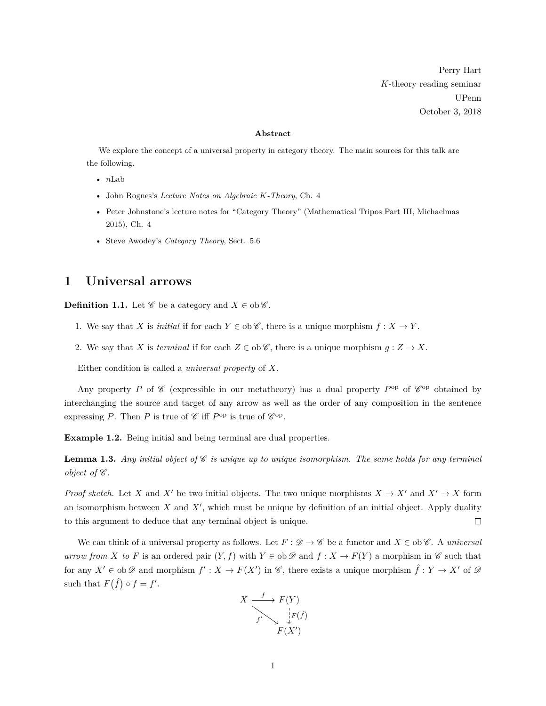Perry Hart *K*-theory reading seminar UPenn October 3, 2018

#### **Abstract**

We explore the concept of a universal property in category theory. The main sources for this talk are the following.

- *n*Lab
- John Rognes's *Lecture Notes on Algebraic K-Theory*, Ch. 4
- Peter Johnstone's lecture notes for "Category Theory" (Mathematical Tripos Part III, Michaelmas 2015), Ch. 4
- Steve Awodey's *Category Theory*, Sect. 5.6

# **1 Universal arrows**

**Definition 1.1.** Let  $\mathscr C$  be a category and  $X \in ob \mathscr C$ .

- 1. We say that *X* is *initial* if for each  $Y \in ob \mathscr{C}$ , there is a unique morphism  $f : X \to Y$ .
- 2. We say that *X* is *terminal* if for each  $Z \in ob \mathscr{C}$ , there is a unique morphism  $g: Z \to X$ .

Either condition is called a *universal property* of *X*.

Any property P of  $\mathscr C$  (expressible in our metatheory) has a dual property P<sup>op</sup> of  $\mathscr C^{\rm op}$  obtained by interchanging the source and target of any arrow as well as the order of any composition in the sentence expressing *P*. Then *P* is true of  $\mathscr{C}$  iff *P*<sup>op</sup> is true of  $\mathscr{C}^{\text{op}}$ .

**Example 1.2.** Being initial and being terminal are dual properties.

<span id="page-0-0"></span>**Lemma 1.3.** *Any initial object of*  $\mathscr C$  *is unique up to unique isomorphism. The same holds for any terminal object of*  $\mathscr C$ *.* 

*Proof sketch.* Let *X* and *X*<sup> $\prime$ </sup> be two initial objects. The two unique morphisms  $X \to X'$  and  $X' \to X$  form an isomorphism between  $X$  and  $X'$ , which must be unique by definition of an initial object. Apply duality to this argument to deduce that any terminal object is unique.  $\Box$ 

We can think of a universal property as follows. Let  $F : \mathscr{D} \to \mathscr{C}$  be a functor and  $X \in ob\mathscr{C}$ . A *universal arrow from X to F* is an ordered pair  $(Y, f)$  with  $Y \in ob \mathscr{D}$  and  $f : X \to F(Y)$  a morphism in  $\mathscr{C}$  such that for any  $X' \in ob \mathscr{D}$  and morphism  $f': X \to F(X')$  in  $\mathscr{C}$ , there exists a unique morphism  $\hat{f}: Y \to X'$  of  $\mathscr{D}$ such that  $F(\hat{f}) \circ f = f'$ .

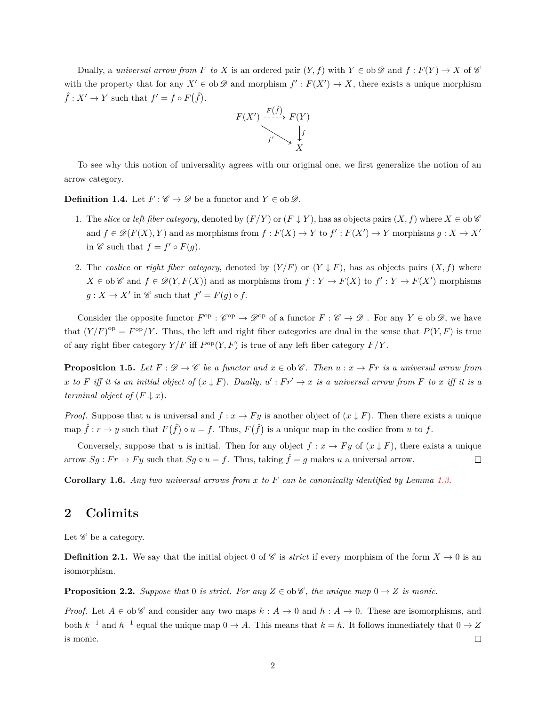Dually, a *universal arrow from F to X* is an ordered pair  $(Y, f)$  with  $Y \in ob \mathscr{D}$  and  $f : F(Y) \to X$  of  $\mathscr{C}$ with the property that for any  $X' \in ob \mathscr{D}$  and morphism  $f': F(X') \to X$ , there exists a unique morphism  $\hat{f}: X' \to Y$  such that  $f' = f \circ F(\hat{f})$ .



To see why this notion of universality agrees with our original one, we first generalize the notion of an arrow category.

**Definition 1.4.** Let  $F: \mathscr{C} \to \mathscr{D}$  be a functor and  $Y \in ob \mathscr{D}$ .

- 1. The *slice* or *left fiber category*, denoted by  $(F/Y)$  or  $(F \downarrow Y)$ , has as objects pairs  $(X, f)$  where  $X \in ob \mathscr{C}$ and  $f \in \mathcal{D}(F(X), Y)$  and as morphisms from  $f : F(X) \to Y$  to  $f' : F(X') \to Y$  morphisms  $g : X \to X'$ in  $\mathscr C$  such that  $f = f' \circ F(g)$ .
- 2. The *coslice* or *right fiber category*, denoted by  $(Y/F)$  or  $(Y \downarrow F)$ , has as objects pairs  $(X, f)$  where  $X \in ob \mathscr{C}$  and  $f \in \mathscr{D}(Y, F(X))$  and as morphisms from  $f: Y \to F(X)$  to  $f': Y \to F(X')$  morphisms  $g: X \to X'$  in  $\mathscr{C}$  such that  $f' = F(g) \circ f$ .

Consider the opposite functor  $F^{\text{op}} : \mathscr{C}^{\text{op}} \to \mathscr{D}^{\text{op}}$  of a functor  $F : \mathscr{C} \to \mathscr{D}$ . For any  $Y \in \text{ob } \mathscr{D}$ , we have that  $(Y/F)^{op} = F^{op}/Y$ . Thus, the left and right fiber categories are dual in the sense that  $P(Y, F)$  is true of any right fiber category  $Y/F$  iff  $P^{\rm op}(Y, F)$  is true of any left fiber category  $F/Y$ .

**Proposition 1.5.** *Let*  $F: \mathcal{D} \to \mathcal{C}$  *be a functor and*  $x \in \text{ob}\mathcal{C}$ *. Then*  $u: x \to Fr$  *is a universal arrow from x* to *F* iff it is an initial object of  $(x \downarrow F)$ . Dually,  $u' : Fr' \to x$  is a universal arrow from *F* to *x* iff it is a *terminal object of*  $(F \downarrow x)$ *.* 

*Proof.* Suppose that *u* is universal and  $f: x \to Fy$  is another object of  $(x \downarrow F)$ . Then there exists a unique map  $\hat{f}: r \to y$  such that  $F(\hat{f}) \circ u = f$ . Thus,  $F(\hat{f})$  is a unique map in the coslice from *u* to *f*.

Conversely, suppose that *u* is initial. Then for any object  $f: x \to F y$  of  $(x \downarrow F)$ , there exists a unique arrow  $Sg : Fr \to Fy$  such that  $Sg \circ u = f$ . Thus, taking  $\hat{f} = g$  makes *u* a universal arrow.  $\Box$ 

**Corollary 1.6.** *Any two universal arrows from x to F can be canonically identified by Lemma [1.3.](#page-0-0)*

### **2 Colimits**

Let  $\mathscr C$  be a category.

**Definition 2.1.** We say that the initial object 0 of  $\mathscr C$  is *strict* if every morphism of the form  $X \to 0$  is an isomorphism.

**Proposition 2.2.** *Suppose that* 0 *is strict. For any*  $Z \in ob\mathscr{C}$ *, the unique map*  $0 \to Z$  *is monic.* 

*Proof.* Let  $A \in ob\mathscr{C}$  and consider any two maps  $k : A \to 0$  and  $h : A \to 0$ . These are isomorphisms, and both  $k^{-1}$  and  $h^{-1}$  equal the unique map  $0 \to A$ . This means that  $k = h$ . It follows immediately that  $0 \to Z$  $\Box$ is monic.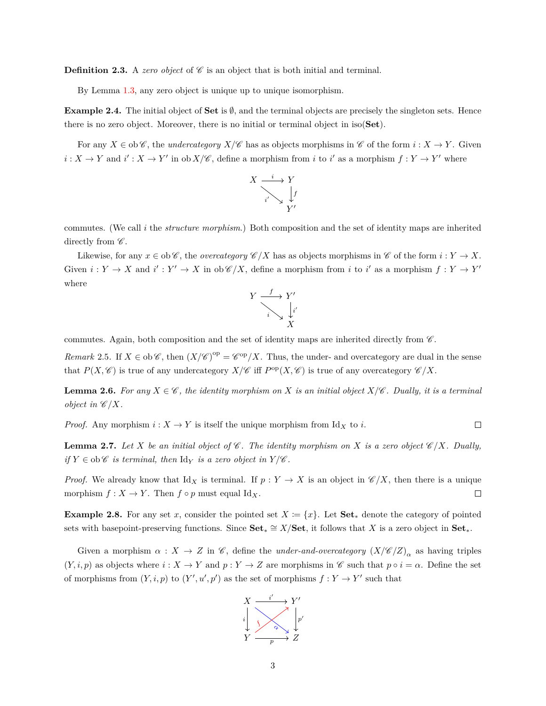**Definition 2.3.** A *zero object* of  $\mathscr C$  is an object that is both initial and terminal.

By Lemma [1.3,](#page-0-0) any zero object is unique up to unique isomorphism.

**Example 2.4.** The initial object of **Set** is ∅, and the terminal objects are precisely the singleton sets. Hence there is no zero object. Moreover, there is no initial or terminal object in iso(**Set**).

For any  $X \in ob \mathscr{C}$ , the *undercategory*  $X/\mathscr{C}$  has as objects morphisms in  $\mathscr{C}$  of the form  $i : X \to Y$ . Given  $i: X \to Y$  and  $i': X \to Y'$  in ob  $X/\mathscr{C}$ , define a morphism from *i* to *i*' as a morphism  $f: Y \to Y'$  where



commutes. (We call *i* the *structure morphism*.) Both composition and the set of identity maps are inherited directly from  $\mathscr{C}$ .

Likewise, for any  $x \in \text{ob}\,\mathscr{C}$ , the *overcategory*  $\mathscr{C}/X$  has as objects morphisms in  $\mathscr{C}$  of the form  $i: Y \to X$ . Given  $i: Y \to X$  and  $i': Y' \to X$  in  $ob\mathscr{C}/X$ , define a morphism from *i* to *i'* as a morphism  $f: Y \to Y'$ where



commutes. Again, both composition and the set of identity maps are inherited directly from  $\mathscr C$ .

*Remark* 2.5. If  $X \in ob \mathscr{C}$ , then  $(X/\mathscr{C})^{op} = \mathscr{C}^{op}/X$ . Thus, the under- and overcategory are dual in the sense that  $P(X, \mathscr{C})$  is true of any undercategory  $X/\mathscr{C}$  iff  $P^{\text{op}}(X, \mathscr{C})$  is true of any overcategory  $\mathscr{C}/X$ .

**Lemma 2.6.** *For any*  $X \in \mathscr{C}$ , the identity morphism on X is an initial object  $X/\mathscr{C}$ *. Dually, it is a terminal object in*  $\mathscr{C}/X$ *.* 

*Proof.* Any morphism  $i: X \to Y$  is itself the unique morphism from Id<sub>X</sub> to *i*.  $\Box$ 

**Lemma 2.7.** Let *X* be an initial object of  $\mathscr{C}$ . The identity morphism on *X* is a zero object  $\mathscr{C}/X$ *.* Dually, *if*  $Y \in ob \mathscr{C}$  *is terminal, then*  $Id_Y$  *is a zero object in*  $Y/\mathscr{C}$ *.* 

*Proof.* We already know that  $\mathrm{Id}_X$  is terminal. If  $p: Y \to X$  is an object in  $\mathscr{C}/X$ , then there is a unique morphism  $f: X \to Y$ . Then  $f \circ p$  must equal Id<sub>X</sub>.  $\Box$ 

**Example 2.8.** For any set *x*, consider the pointed set  $X := \{x\}$ . Let  $Set_*$  denote the category of pointed sets with basepoint-preserving functions. Since  $Set_* \cong X/Set$ , it follows that *X* is a zero object in  $Set_*$ .

Given a morphism  $\alpha: X \to Z$  in  $\mathscr{C}$ , define the *under-and-overcategory*  $(X/\mathscr{C}/Z)_{\alpha}$  as having triples  $(Y, i, p)$  as objects where  $i: X \to Y$  and  $p: Y \to Z$  are morphisms in C such that  $p \circ i = \alpha$ . Define the set of morphisms from  $(Y, i, p)$  to  $(Y', u', p')$  as the set of morphisms  $f: Y \to Y'$  such that

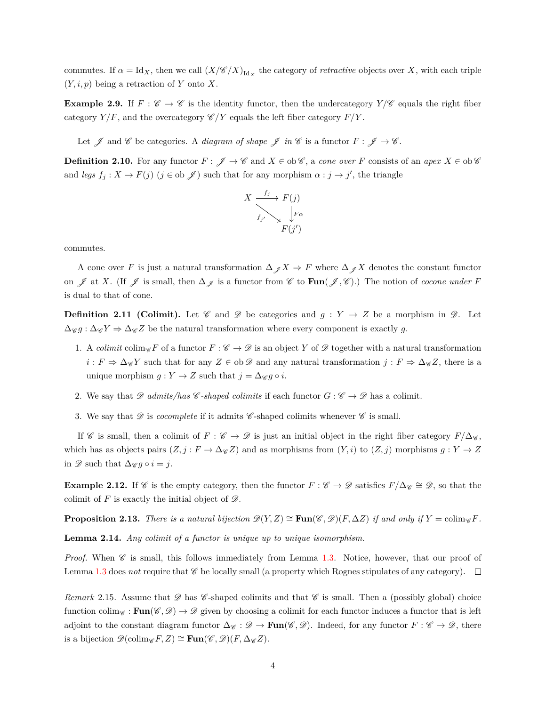commutes. If  $\alpha = \text{Id}_X$ , then we call  $(X/\mathscr{C}/X)_{\text{Id}_X}$  the category of *retractive* objects over X, with each triple (*Y, i, p*) being a retraction of *Y* onto *X*.

**Example 2.9.** If  $F : \mathscr{C} \to \mathscr{C}$  is the identity functor, then the undercategory  $Y/\mathscr{C}$  equals the right fiber category  $Y/F$ , and the overcategory  $\mathscr{C}/Y$  equals the left fiber category  $F/Y$ .

Let  $\mathscr J$  and  $\mathscr C$  be categories. A *diagram of shape*  $\mathscr J$  *in*  $\mathscr C$  is a functor  $F: \mathscr J \to \mathscr C$ .

**Definition 2.10.** For any functor  $F: \mathscr{J} \to \mathscr{C}$  and  $X \in ob \mathscr{C}$ , a *cone over*  $F$  consists of an *apex*  $X \in ob \mathscr{C}$ and *legs*  $f_j: X \to F(j)$   $(j \in \text{ob } \mathscr{J})$  such that for any morphism  $\alpha: j \to j'$ , the triangle



commutes.

A cone over *F* is just a natural transformation  $\Delta_{\mathscr{J}} X \Rightarrow F$  where  $\Delta_{\mathscr{J}} X$  denotes the constant functor on  $\mathscr J$  at *X*. (If  $\mathscr J$  is small, then  $\Delta_{\mathscr J}$  is a functor from  $\mathscr C$  to  $\text{Fun}(\mathscr J, \mathscr C)$ .) The notion of *cocone under*  $F$ is dual to that of cone.

**Definition 2.11 (Colimit).** Let  $\mathscr C$  and  $\mathscr D$  be categories and  $g : Y \to Z$  be a morphism in  $\mathscr D$ . Let  $\Delta_{\mathscr{C}} g : \Delta_{\mathscr{C}} Z \to \Delta_{\mathscr{C}} Z$  be the natural transformation where every component is exactly g.

- 1. A *colimit* colim<sub>C</sub> *F* of a functor  $F : \mathscr{C} \to \mathscr{D}$  is an object Y of  $\mathscr{D}$  together with a natural transformation  $i: F \Rightarrow \Delta_{\mathscr{C}} Y$  such that for any  $Z \in ob \mathscr{D}$  and any natural transformation  $j: F \Rightarrow \Delta_{\mathscr{C}} Z$ , there is a unique morphism  $g: Y \to Z$  such that  $j = \Delta_{\mathscr{C}} g \circ i$ .
- 2. We say that  $\mathscr{D}$  *admits/has* C-shaped colimits if each functor  $G : \mathscr{C} \to \mathscr{D}$  has a colimit.
- 3. We say that  $\mathscr D$  is *cocomplete* if it admits  $\mathscr C$ -shaped colimits whenever  $\mathscr C$  is small.

If C is small, then a colimit of  $F : \mathscr{C} \to \mathscr{D}$  is just an initial object in the right fiber category  $F/\Delta_{\mathscr{C}}$ , which has as objects pairs  $(Z, j : F \to \Delta_{\mathscr{C}} Z)$  and as morphisms from  $(Y, i)$  to  $(Z, j)$  morphisms  $g : Y \to Z$ in  $\mathscr{D}$  such that  $\Delta_{\mathscr{C}} g \circ i = j$ .

**Example 2.12.** If C is the empty category, then the functor  $F : C \to \mathscr{D}$  satisfies  $F/\Delta \mathscr{C} \cong \mathscr{D}$ , so that the colimit of  $F$  is exactly the initial object of  $\mathscr{D}$ .

**Proposition 2.13.** *There is a natural bijection*  $\mathscr{D}(Y, Z) \cong \textbf{Fun}(\mathscr{C}, \mathscr{D})(F, \Delta Z)$  *if and only if*  $Y = \text{colim}_{\mathscr{C}} F$ *.* 

**Lemma 2.14.** *Any colimit of a functor is unique up to unique isomorphism.*

*Proof.* When  $\mathscr C$  is small, this follows immediately from Lemma [1.3.](#page-0-0) Notice, however, that our proof of Lemma [1.3](#page-0-0) does *not* require that  $\mathscr C$  be locally small (a property which Rognes stipulates of any category).  $\Box$ 

*Remark* 2.15*.* Assume that  $\mathscr D$  has  $\mathscr C$ -shaped colimits and that  $\mathscr C$  is small. Then a (possibly global) choice function colim<sub>C</sub> : **Fun**(C,  $\mathscr{D}$ )  $\rightarrow \mathscr{D}$  given by choosing a colimit for each functor induces a functor that is left adjoint to the constant diagram functor  $\Delta_{\mathscr{C}} : \mathscr{D} \to \text{Fun}(\mathscr{C}, \mathscr{D})$ . Indeed, for any functor  $F : \mathscr{C} \to \mathscr{D}$ , there is a bijection  $\mathscr{D}(\text{colim}_{\mathscr{C}} F, Z) \cong \text{Fun}(\mathscr{C}, \mathscr{D})(F, \Delta_{\mathscr{C}} Z)$ .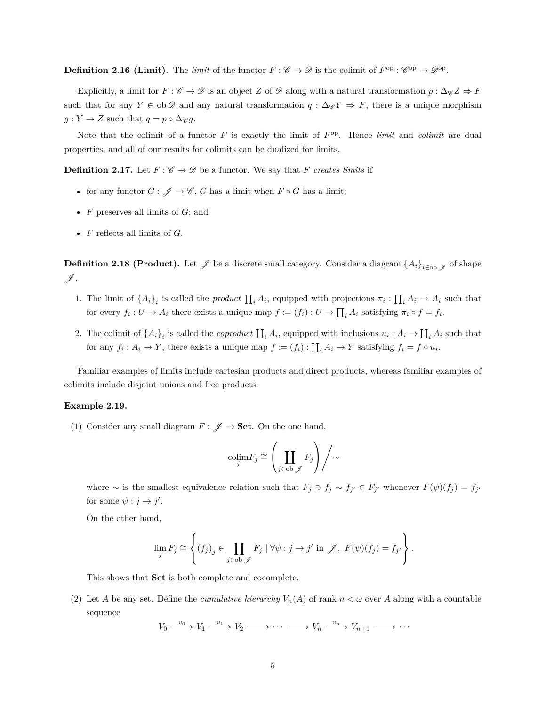**Definition 2.16 (Limit).** The *limit* of the functor  $F: \mathscr{C} \to \mathscr{D}$  is the colimit of  $F^{\rm op} : \mathscr{C}^{\rm op} \to \mathscr{D}^{\rm op}$ .

Explicitly, a limit for  $F : \mathscr{C} \to \mathscr{D}$  is an object *Z* of  $\mathscr{D}$  along with a natural transformation  $p : \Delta_{\mathscr{C}} Z \Rightarrow F$ such that for any *Y* ∈ ob  $\mathscr D$  and any natural transformation *q* :  $\Delta_{\mathscr C} Y \Rightarrow F$ , there is a unique morphism  $g: Y \to Z$  such that  $q = p \circ \Delta \mathscr{C} g$ .

Note that the colimit of a functor  $F$  is exactly the limit of  $F^{\text{op}}$ . Hence *limit* and *colimit* are dual properties, and all of our results for colimits can be dualized for limits.

**Definition 2.17.** Let  $F: \mathscr{C} \to \mathscr{D}$  be a functor. We say that *F creates limits* if

- for any functor  $G: \mathscr{J} \to \mathscr{C}$ , *G* has a limit when  $F \circ G$  has a limit;
- *F* preserves all limits of *G*; and
- *F* reflects all limits of *G*.

**Definition 2.18 (Product).** Let  $\mathscr{J}$  be a discrete small category. Consider a diagram  $\{A_i\}_{i\in\text{ob }\mathscr{J}}$  of shape  $\not$  .

- 1. The limit of  $\{A_i\}_i$  is called the *product*  $\prod_i A_i$ , equipped with projections  $\pi_i: \prod_i A_i \to A_i$  such that for every  $f_i: U \to A_i$  there exists a unique map  $f := (f_i): U \to \prod_i A_i$  satisfying  $\pi_i \circ f = f_i$ .
- 2. The colimit of  $\{A_i\}_i$  is called the *coproduct*  $\prod_i A_i$ , equipped with inclusions  $u_i: A_i \to \prod_i A_i$  such that for any  $f_i: A_i \to Y$ , there exists a unique map  $f := (f_i): \coprod_i A_i \to Y$  satisfying  $f_i = f \circ u_i$ .

Familiar examples of limits include cartesian products and direct products, whereas familiar examples of colimits include disjoint unions and free products.

#### <span id="page-4-0"></span>**Example 2.19.**

(1) Consider any small diagram  $F: \mathscr{J} \to \mathbf{Set}$ . On the one hand,

$$
\operatorname{colim}_{j} F_j \cong \left( \coprod_{j \in \operatorname{ob}_{\mathscr{J}}} F_j \right) \Bigg/ \sim
$$

where ∼ is the smallest equivalence relation such that  $F_j \ni f_j \sim f_{j'} \in F_{j'}$  whenever  $F(\psi)(f_j) = f_{j'}$ for some  $\psi : j \to j'$ .

On the other hand,

$$
\lim_{j} F_{j} \cong \left\{ (f_{j})_{j} \in \prod_{j \in \text{ob } \mathscr{J}} F_{j} \mid \forall \psi : j \to j' \text{ in } \mathscr{J}, F(\psi)(f_{j}) = f_{j'} \right\}.
$$

This shows that **Set** is both complete and cocomplete.

(2) Let *A* be any set. Define the *cumulative hierarchy*  $V_n(A)$  of rank  $n < \omega$  over *A* along with a countable sequence

$$
V_0 \xrightarrow{v_0} V_1 \xrightarrow{v_1} V_2 \xrightarrow{v_2} \cdots \xrightarrow{v_n} V_n \xrightarrow{v_n} V_{n+1} \xrightarrow{v_1} \cdots
$$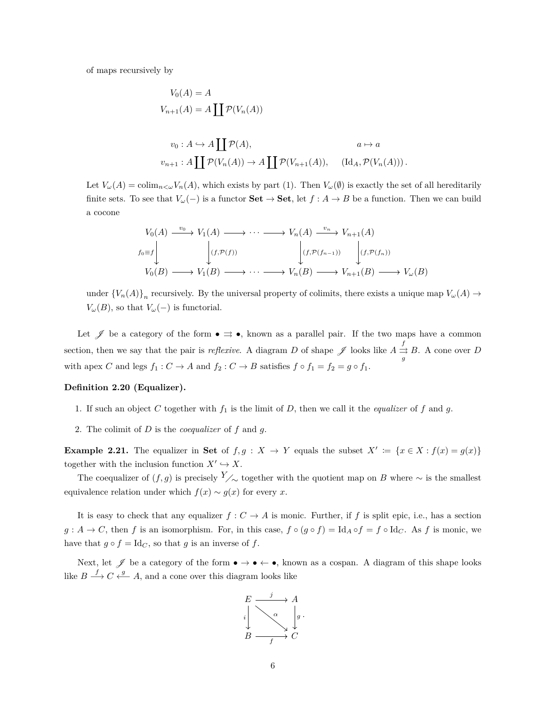of maps recursively by

$$
V_0(A) = A
$$
  
\n
$$
V_{n+1}(A) = A \coprod \mathcal{P}(V_n(A))
$$
  
\n
$$
v_0: A \hookrightarrow A \coprod \mathcal{P}(A), \qquad a \mapsto a
$$
  
\n
$$
v_{n+1}: A \coprod \mathcal{P}(V_n(A)) \to A \coprod \mathcal{P}(V_{n+1}(A)), \qquad (\text{Id}_A, \mathcal{P}(V_n(A))).
$$

Let  $V_\omega(A) = \text{colim}_{n \leq \omega} V_n(A)$ , which exists by part (1). Then  $V_\omega(\emptyset)$  is exactly the set of all hereditarily finite sets. To see that  $V_\omega(-)$  is a functor **Set**  $\rightarrow$  **Set**, let  $f : A \rightarrow B$  be a function. Then we can build a cocone

$$
V_0(A) \xrightarrow{v_0} V_1(A) \longrightarrow \cdots \longrightarrow V_n(A) \xrightarrow{v_n} V_{n+1}(A)
$$
  
\n
$$
f_0 \equiv f \downarrow \qquad \qquad (f, \mathcal{P}(f)) \qquad \qquad \downarrow (f, \mathcal{P}(f_{n-1})) \qquad \qquad (f, \mathcal{P}(f_n))
$$
  
\n
$$
V_0(B) \longrightarrow V_1(B) \longrightarrow \cdots \longrightarrow V_n(B) \longrightarrow V_{n+1}(B) \longrightarrow V_\omega(B)
$$

under  ${V_n(A)}_n$  recursively. By the universal property of colimits, there exists a unique map  $V_\omega(A) \to$ *V*<sup> $_{\omega}(B)$ , so that *V*<sup> $_{\omega}$ </sup>(−) is functorial.</sup>

Let  $\mathscr J$  be a category of the form  $\bullet \rightrightarrows \bullet$ , known as a parallel pair. If the two maps have a common section, then we say that the pair is *reflexive*. A diagram *D* of shape  $\mathscr J$  looks like  $A \stackrel{f}{\rightrightarrows}$  $\Rightarrow B$ . A cone over *D* with apex *C* and legs  $f_1: C \to A$  and  $f_2: C \to B$  satisfies  $f \circ f_1 = f_2 = g \circ f_1$ .

#### **Definition 2.20 (Equalizer).**

- 1. If such an object C together with  $f_1$  is the limit of D, then we call it the *equalizer* of  $f$  and  $g$ .
- 2. The colimit of *D* is the *coequalizer* of *f* and *g*.

**Example 2.21.** The equalizer in Set of  $f, g: X \to Y$  equals the subset  $X' := \{x \in X : f(x) = g(x)\}\$ together with the inclusion function  $X' \hookrightarrow X$ .

The coequalizer of  $(f, g)$  is precisely *Y*<sub>∕∼</sub> together with the quotient map on *B* where ∼ is the smallest equivalence relation under which  $f(x) \sim g(x)$  for every *x*.

It is easy to check that any equalizer  $f: C \to A$  is monic. Further, if *f* is split epic, i.e., has a section  $g: A \to C$ , then *f* is an isomorphism. For, in this case,  $f \circ (g \circ f) = \text{Id}_A \circ f = f \circ \text{Id}_C$ . As *f* is monic, we have that  $g \circ f = \text{Id}_C$ , so that  $g$  is an inverse of  $f$ .

Next, let  $\mathscr J$  be a category of the form  $\bullet \to \bullet \leftarrow \bullet$ , known as a cospan. A diagram of this shape looks like  $B \stackrel{f}{\longrightarrow} C \stackrel{g}{\longleftarrow} A$ , and a cone over this diagram looks like

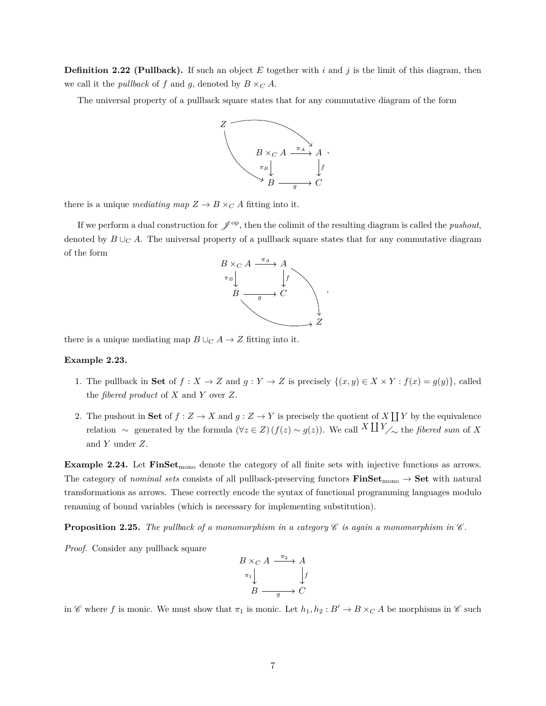**Definition 2.22 (Pullback).** If such an object  $E$  together with  $i$  and  $j$  is the limit of this diagram, then we call it the *pullback* of *f* and *g*, denoted by  $B \times_C A$ .

The universal property of a pullback square states that for any commutative diagram of the form



there is a unique *mediating map*  $Z \to B \times_C A$  fitting into it.

If we perform a dual construction for  $\mathscr{J}^{\text{op}}$ , then the colimit of the resulting diagram is called the *pushout*, denoted by  $B \cup_C A$ . The universal property of a pullback square states that for any commutative diagram of the form



there is a unique mediating map  $B \cup_C A \to Z$  fitting into it.

#### **Example 2.23.**

- 1. The pullback in **Set** of  $f : X \to Z$  and  $g : Y \to Z$  is precisely  $\{(x, y) \in X \times Y : f(x) = g(y)\}\)$ , called the *fibered product* of *X* and *Y* over *Z*.
- 2. The pushout in Set of  $f: Z \to X$  and  $g: Z \to Y$  is precisely the quotient of X  $\coprod Y$  by the equivalence  $r$ elation ∼ generated by the formula  $(\forall z \in Z) (f(z) \sim g(z))$ . We call  $^X \coprod Y_{\nearrow \sim}$  the *fibered sum* of *X* and *Y* under *Z*.

**Example 2.24.** Let **FinSet**<sub>mono</sub> denote the category of all finite sets with injective functions as arrows. The category of *nominal sets* consists of all pullback-preserving functors  $\textbf{FinSet}_{\text{mono}} \rightarrow \textbf{Set}$  with natural transformations as arrows. These correctly encode the syntax of functional programming languages modulo renaming of bound variables (which is necessary for implementing substitution).

**Proposition 2.25.** The pullback of a monomorphism in a category  $\mathscr C$  is again a monomorphism in  $\mathscr C$ .

*Proof.* Consider any pullback square

$$
B \times_C A \xrightarrow{\pi_2} A
$$
  
\n
$$
\pi_1 \downarrow \qquad \qquad \downarrow f
$$
  
\n
$$
B \xrightarrow{g} C
$$

in C where f is monic. We must show that  $\pi_1$  is monic. Let  $h_1, h_2 : B' \to B \times_C A$  be morphisms in C such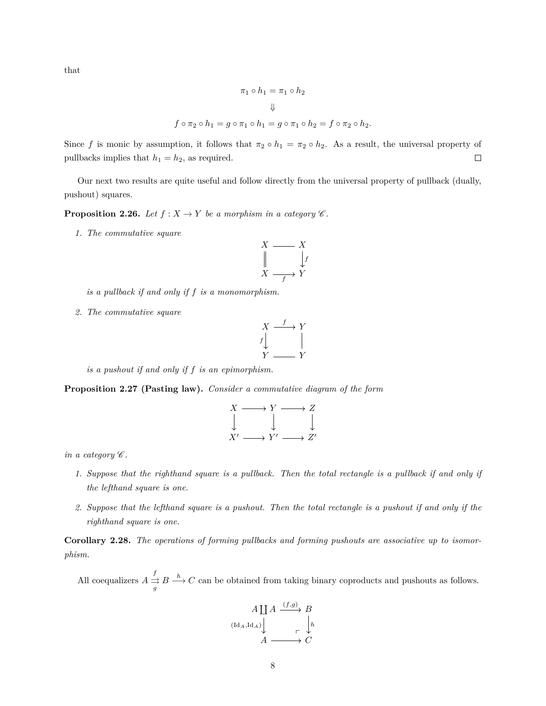that

$$
\pi_1 \circ h_1 = \pi_1 \circ h_2
$$
  

$$
\Downarrow
$$
  

$$
f \circ \pi_2 \circ h_1 = g \circ \pi_1 \circ h_1 = g \circ \pi_1 \circ h_2 = f \circ \pi_2 \circ h_2.
$$

Since f is monic by assumption, it follows that  $\pi_2 \circ h_1 = \pi_2 \circ h_2$ . As a result, the universal property of  $\Box$ pullbacks implies that  $h_1 = h_2$ , as required.

Our next two results are quite useful and follow directly from the universal property of pullback (dually, pushout) squares.

**Proposition 2.26.** *Let*  $f : X \to Y$  *be a morphism in a category*  $\mathscr{C}$ *.* 

*1. The commutative square*

$$
X \longrightarrow X
$$
  

$$
\parallel \qquad \qquad \downarrow f
$$
  

$$
X \longrightarrow Y
$$

*is a pullback if and only if f is a monomorphism.*

*2. The commutative square*

$$
\begin{array}{ccc}\nX & \xrightarrow{f} & Y \\
\downarrow & & \parallel \\
Y & \xrightarrow{y} & Y\n\end{array}
$$

*is a pushout if and only if f is an epimorphism.*

**Proposition 2.27 (Pasting law).** *Consider a commutative diagram of the form*

$$
\begin{array}{ccc}\nX & \longrightarrow & Y & \longrightarrow & Z \\
\downarrow & & \downarrow & & \downarrow \\
X' & \longrightarrow & Y' & \longrightarrow & Z'\n\end{array}
$$

*in a category*  $\mathscr C$ *.* 

- *1. Suppose that the righthand square is a pullback. Then the total rectangle is a pullback if and only if the lefthand square is one.*
- *2. Suppose that the lefthand square is a pushout. Then the total rectangle is a pushout if and only if the righthand square is one.*

**Corollary 2.28.** *The operations of forming pullbacks and forming pushouts are associative up to isomorphism.*

All coequalizers  $A \stackrel{f}{\rightrightarrows}$  $\frac{f}{g}$  *B*  $\frac{h}{g}$  *C* can be obtained from taking binary coproducts and pushouts as follows.

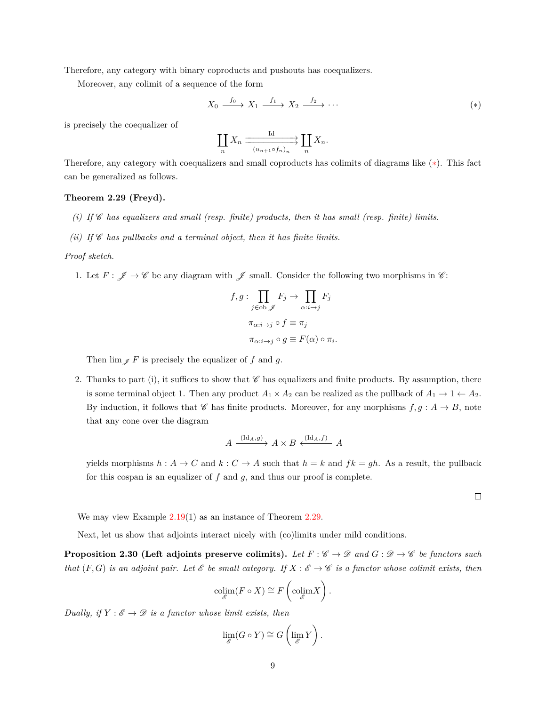Therefore, any category with binary coproducts and pushouts has coequalizers.

Moreover, any colimit of a sequence of the form

$$
X_0 \xrightarrow{f_0} X_1 \xrightarrow{f_1} X_2 \xrightarrow{f_2} \cdots
$$
 (\*)

is precisely the coequalizer of

<span id="page-8-0"></span>
$$
\coprod_n X_n \xrightarrow{\text{Id}} \coprod_{(u_{n+1} \circ f_n)_n} \coprod_n X_n.
$$

Therefore, any category with coequalizers and small coproducts has colimits of diagrams like ([∗](#page-8-0)). This fact can be generalized as follows.

### <span id="page-8-1"></span>**Theorem 2.29 (Freyd).**

- *(i) If* C *has equalizers and small (resp. finite) products, then it has small (resp. finite) limits.*
- *(ii)* If  $\mathscr C$  has pullbacks and a terminal object, then it has finite limits.

### *Proof sketch.*

1. Let  $F: \mathscr{J} \to \mathscr{C}$  be any diagram with  $\mathscr{J}$  small. Consider the following two morphisms in  $\mathscr{C}$ :

$$
f, g: \prod_{j \in \text{ob } \mathscr{J}} F_j \to \prod_{\alpha:i \to j} F_j
$$

$$
\pi_{\alpha:i \to j} \circ f \equiv \pi_j
$$

$$
\pi_{\alpha:i \to j} \circ g \equiv F(\alpha) \circ \pi_i.
$$

Then  $\lim_{\mathscr{I}} F$  is precisely the equalizer of *f* and *g*.

2. Thanks to part (i), it suffices to show that  $\mathscr C$  has equalizers and finite products. By assumption, there is some terminal object 1. Then any product  $A_1 \times A_2$  can be realized as the pullback of  $A_1 \rightarrow 1 \leftarrow A_2$ . By induction, it follows that  $\mathscr C$  has finite products. Moreover, for any morphisms  $f, g : A \to B$ , note that any cone over the diagram

$$
A \xrightarrow{(\mathrm{Id}_A,g)} A \times B \xleftarrow{(\mathrm{Id}_A,f)} A
$$

yields morphisms  $h : A \to C$  and  $k : C \to A$  such that  $h = k$  and  $fk = gh$ . As a result, the pullback for this cospan is an equalizer of *f* and *g*, and thus our proof is complete.

 $\Box$ 

We may view Example [2.19\(](#page-4-0)1) as an instance of Theorem [2.29.](#page-8-1)

Next, let us show that adjoints interact nicely with (co)limits under mild conditions.

**Proposition 2.30 (Left adjoints preserve colimits).** Let  $F: \mathscr{C} \to \mathscr{D}$  and  $G: \mathscr{D} \to \mathscr{C}$  be functors such *that*  $(F, G)$  *is an adjoint pair. Let*  $\mathcal{E}$  *be small category. If*  $X : \mathcal{E} \to \mathcal{C}$  *is a functor whose colimit exists, then* 

$$
\underset{\mathscr{E}}{\text{colim}}(F \circ X) \cong F\left(\underset{\mathscr{E}}{\text{colim}} X\right).
$$

*Dually, if*  $Y : \mathscr{E} \to \mathscr{D}$  *is a functor whose limit exists, then* 

$$
\lim_{\mathscr{E}} (G \circ Y) \cong G \left( \lim_{\mathscr{E}} Y \right).
$$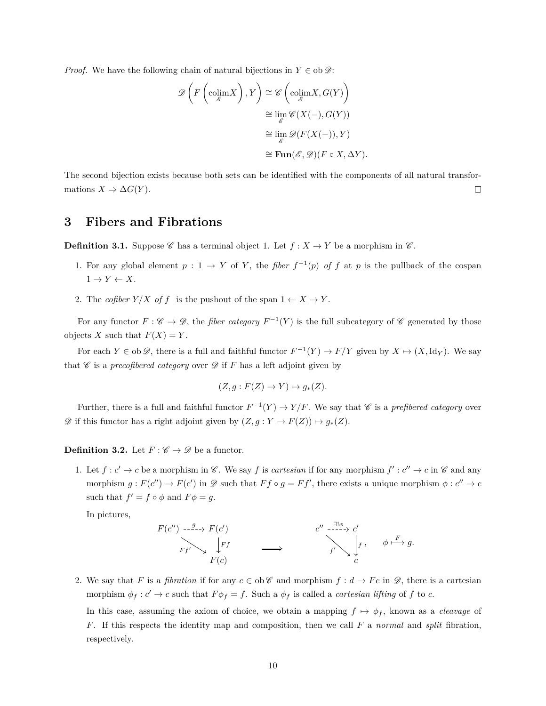*Proof.* We have the following chain of natural bijections in  $Y \in ob \mathscr{D}$ :

$$
\mathscr{D}\left(F\left(\text{colim}\,X\right),Y\right) \cong \mathscr{C}\left(\text{colim}\,X,G(Y)\right)
$$

$$
\cong \lim_{\substack{\mathscr{E}\\ \mathscr{E}}}\mathscr{C}(X(-),G(Y))
$$

$$
\cong \lim_{\substack{\mathscr{E}\\ \mathscr{E}}}\mathscr{D}(F(X(-)),Y)
$$

$$
\cong \text{Fun}(\mathscr{E},\mathscr{D})(F \circ X,\Delta Y).
$$

The second bijection exists because both sets can be identified with the components of all natural transformations  $X \Rightarrow \Delta G(Y)$ .  $\Box$ 

## **3 Fibers and Fibrations**

**Definition 3.1.** Suppose C has a terminal object 1. Let  $f : X \to Y$  be a morphism in C.

- 1. For any global element  $p: 1 \to Y$  of *Y*, the *fiber*  $f^{-1}(p)$  of *f* at *p* is the pullback of the cospan  $1 \rightarrow Y \leftarrow X$ .
- 2. The *cofiber*  $Y/X$  *of*  $f$  is the pushout of the span  $1 \leftarrow X \rightarrow Y$ .

For any functor  $F: \mathscr{C} \to \mathscr{D}$ , the *fiber category*  $F^{-1}(Y)$  is the full subcategory of  $\mathscr{C}$  generated by those objects *X* such that  $F(X) = Y$ .

For each  $Y \in ob \mathscr{D}$ , there is a full and faithful functor  $F^{-1}(Y) \to F/Y$  given by  $X \mapsto (X, \mathrm{Id}_Y)$ . We say that  $\mathscr C$  is a *precofibered category* over  $\mathscr D$  if  $F$  has a left adjoint given by

$$
(Z, g: F(Z) \to Y) \mapsto g_*(Z).
$$

Further, there is a full and faithful functor  $F^{-1}(Y) \to Y/F$ . We say that *C* is a *prefibered category* over  $\mathscr{D}$  if this functor has a right adjoint given by  $(Z, g: Y \to F(Z)) \mapsto g_*(Z)$ .

**Definition 3.2.** Let  $F : \mathscr{C} \to \mathscr{D}$  be a functor.

1. Let  $f: c' \to c$  be a morphism in  $\mathscr{C}$ . We say  $f$  is *cartesian* if for any morphism  $f': c'' \to c$  in  $\mathscr{C}$  and any morphism  $g: F(c'') \to F(c')$  in  $\mathscr D$  such that  $Ff \circ g = Ff'$ , there exists a unique morphism  $\phi: c'' \to c$ such that  $f' = f \circ \phi$  and  $F\phi = g$ .

In pictures,



2. We say that *F* is a *fibration* if for any  $c \in ob \mathscr{C}$  and morphism  $f : d \to Fc$  in  $\mathscr{D}$ , there is a cartesian morphism  $\phi_f : c' \to c$  such that  $F \phi_f = f$ . Such a  $\phi_f$  is called a *cartesian lifting* of f to c.

In this case, assuming the axiom of choice, we obtain a mapping  $f \mapsto \phi_f$ , known as a *cleavage* of *F*. If this respects the identity map and composition, then we call *F* a *normal* and *split* fibration, respectively.